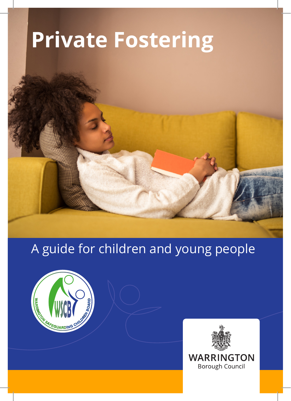# **Private Fostering**

# A guide for children and young people



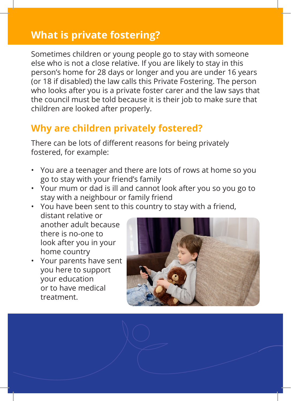# **What is private fostering?**

Sometimes children or young people go to stay with someone else who is not a close relative. If you are likely to stay in this person's home for 28 days or longer and you are under 16 years (or 18 if disabled) the law calls this Private Fostering. The person who looks after you is a private foster carer and the law says that the council must be told because it is their job to make sure that children are looked after properly.

# **Why are children privately fostered?**

There can be lots of different reasons for being privately fostered, for example:

- You are a teenager and there are lots of rows at home so you go to stay with your friend's family
- Your mum or dad is ill and cannot look after you so you go to stay with a neighbour or family friend
- You have been sent to this country to stay with a friend,

distant relative or another adult because there is no-one to look after you in your home country

• Your parents have sent you here to support your education or to have medical treatment.

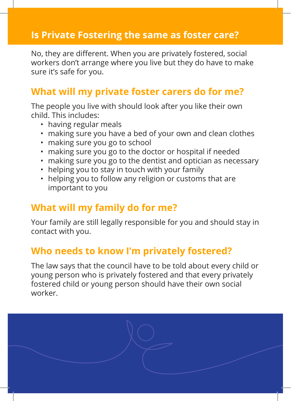#### **Is Private Fostering the same as foster care?**

No, they are different. When you are privately fostered, social workers don't arrange where you live but they do have to make sure it's safe for you.

### **What will my private foster carers do for me?**

The people you live with should look after you like their own child. This includes:

- having regular meals
- making sure you have a bed of your own and clean clothes
- making sure you go to school
- making sure you go to the doctor or hospital if needed
- making sure you go to the dentist and optician as necessary
- helping you to stay in touch with your family
- helping you to follow any religion or customs that are important to you

#### **What will my family do for me?**

Your family are still legally responsible for you and should stay in contact with you.

#### **Who needs to know I'm privately fostered?**

The law says that the council have to be told about every child or young person who is privately fostered and that every privately fostered child or young person should have their own social worker.